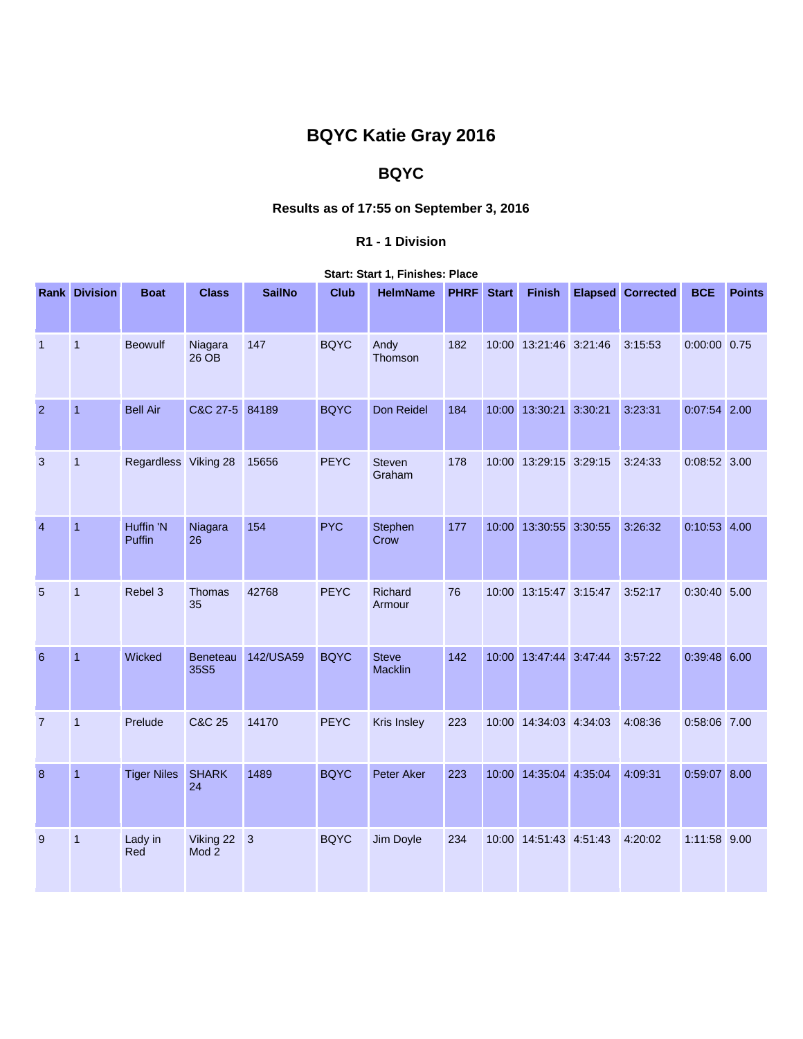# **BQYC Katie Gray 2016**

## **BQYC**

## **Results as of 17:55 on September 3, 2016**

#### **R1 - 1 Division**

| <b>Start: Start 1, Finishes: Place</b> |  |
|----------------------------------------|--|
|                                        |  |

|                | <b>Rank Division</b> | <b>Boat</b>          | <b>Class</b>                  | <b>SailNo</b> | <b>Club</b> | <b>HelmName</b>         | <b>PHRF</b> | <b>Start</b> | <b>Finish</b>          | <b>Elapsed Corrected</b> | <b>BCE</b>     | <b>Points</b> |
|----------------|----------------------|----------------------|-------------------------------|---------------|-------------|-------------------------|-------------|--------------|------------------------|--------------------------|----------------|---------------|
| $\overline{1}$ | $\overline{1}$       | <b>Beowulf</b>       | Niagara<br>26 OB              | 147           | <b>BQYC</b> | Andy<br>Thomson         | 182         |              | 10:00 13:21:46 3:21:46 | 3:15:53                  | $0:00:00$ 0.75 |               |
| $\overline{2}$ | $\overline{1}$       | <b>Bell Air</b>      | C&C 27-5 84189                |               | <b>BQYC</b> | Don Reidel              | 184         |              | 10:00 13:30:21 3:30:21 | 3:23:31                  | $0:07:54$ 2.00 |               |
| 3              | $\mathbf{1}$         | Regardless Viking 28 |                               | 15656         | <b>PEYC</b> | <b>Steven</b><br>Graham | 178         |              | 10:00 13:29:15 3:29:15 | 3:24:33                  | 0:08:52 3.00   |               |
| $\overline{4}$ | 1                    | Huffin 'N<br>Puffin  | Niagara<br>26                 | 154           | <b>PYC</b>  | Stephen<br>Crow         | 177         |              | 10:00 13:30:55 3:30:55 | 3:26:32                  | $0:10:53$ 4.00 |               |
| 5              | $\mathbf{1}$         | Rebel 3              | Thomas<br>35                  | 42768         | <b>PEYC</b> | Richard<br>Armour       | 76          |              | 10:00 13:15:47 3:15:47 | 3:52:17                  | $0:30:40$ 5.00 |               |
| $6\phantom{a}$ | $\overline{1}$       | Wicked               | Beneteau<br>35S5              | 142/USA59     | <b>BQYC</b> | <b>Steve</b><br>Macklin | 142         |              | 10:00 13:47:44 3:47:44 | 3:57:22                  | $0:39:48$ 6.00 |               |
| $\overline{7}$ | 1                    | Prelude              | C&C 25                        | 14170         | <b>PEYC</b> | Kris Insley             | 223         |              | 10:00 14:34:03 4:34:03 | 4:08:36                  | 0:58:06 7.00   |               |
| 8              | 1                    | <b>Tiger Niles</b>   | <b>SHARK</b><br>24            | 1489          | <b>BQYC</b> | Peter Aker              | 223         |              | 10:00 14:35:04 4:35:04 | 4:09:31                  | 0:59:07 8.00   |               |
| 9              | 1                    | Lady in<br>Red       | Viking 22<br>Mod <sub>2</sub> | $\vert 3$     | <b>BQYC</b> | Jim Doyle               | 234         |              | 10:00 14:51:43 4:51:43 | 4:20:02                  | 1:11:58 9.00   |               |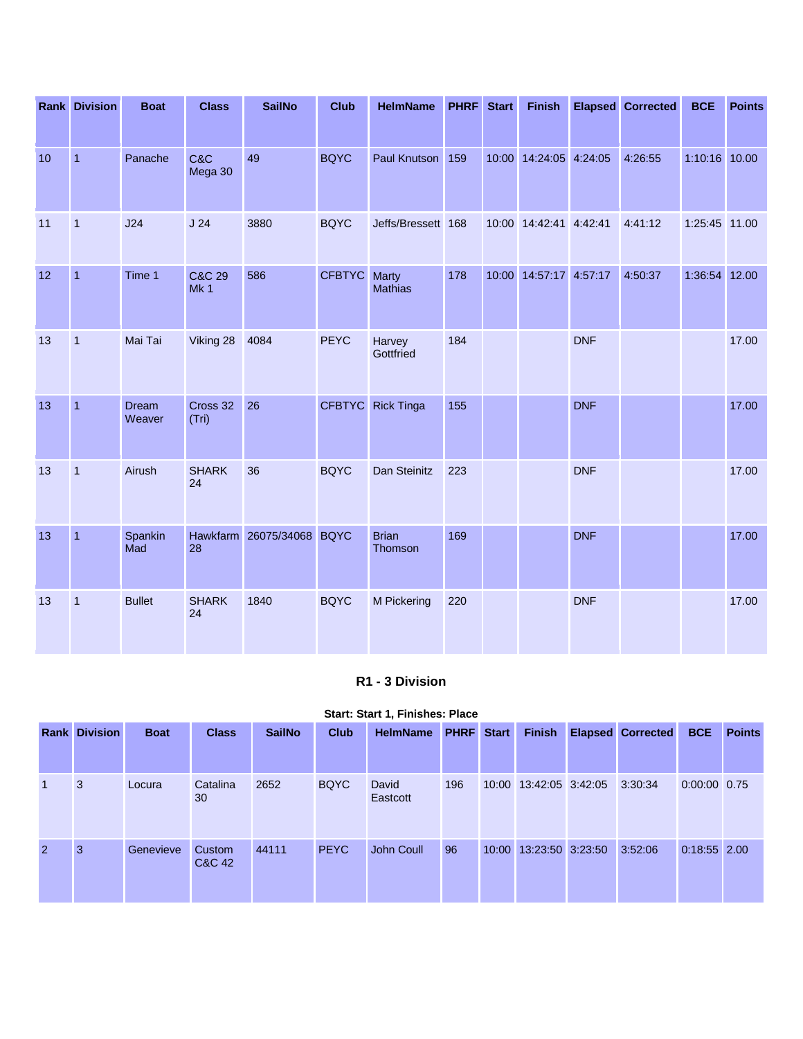|    | <b>Rank Division</b> | <b>Boat</b>            | <b>Class</b>                         | <b>SailNo</b>             | <b>Club</b>   | <b>HelmName</b>                | <b>PHRF</b> | <b>Start</b> | <b>Finish</b>          |            | <b>Elapsed Corrected</b> | <b>BCE</b>    | <b>Points</b> |
|----|----------------------|------------------------|--------------------------------------|---------------------------|---------------|--------------------------------|-------------|--------------|------------------------|------------|--------------------------|---------------|---------------|
| 10 | $\overline{1}$       | Panache                | C&C<br>Mega 30                       | 49                        | <b>BQYC</b>   | Paul Knutson 159               |             |              | 10:00 14:24:05 4:24:05 |            | 4:26:55                  | 1:10:16 10.00 |               |
| 11 | $\mathbf{1}$         | J24                    | J24                                  | 3880                      | <b>BQYC</b>   | Jeffs/Bressett 168             |             |              | 10:00 14:42:41 4:42:41 |            | 4:41:12                  | 1:25:45 11.00 |               |
| 12 | $\overline{1}$       | Time 1                 | <b>C&amp;C 29</b><br>Mk <sub>1</sub> | 586                       | <b>CFBTYC</b> | <b>Marty</b><br><b>Mathias</b> | 178         |              | 10:00 14:57:17 4:57:17 |            | 4:50:37                  | 1:36:54 12.00 |               |
| 13 | $\overline{1}$       | Mai Tai                | Viking 28                            | 4084                      | <b>PEYC</b>   | Harvey<br>Gottfried            | 184         |              |                        | <b>DNF</b> |                          |               | 17.00         |
| 13 | $\overline{1}$       | <b>Dream</b><br>Weaver | Cross 32<br>(Tri)                    | 26                        | <b>CFBTYC</b> | <b>Rick Tinga</b>              | 155         |              |                        | <b>DNF</b> |                          |               | 17.00         |
| 13 | $\mathbf{1}$         | Airush                 | <b>SHARK</b><br>24                   | 36                        | <b>BQYC</b>   | Dan Steinitz                   | 223         |              |                        | <b>DNF</b> |                          |               | 17.00         |
| 13 | $\overline{1}$       | Spankin<br>Mad         | 28                                   | Hawkfarm 26075/34068 BQYC |               | <b>Brian</b><br>Thomson        | 169         |              |                        | <b>DNF</b> |                          |               | 17.00         |
| 13 | $\mathbf{1}$         | <b>Bullet</b>          | <b>SHARK</b><br>24                   | 1840                      | <b>BQYC</b>   | M Pickering                    | 220         |              |                        | <b>DNF</b> |                          |               | 17.00         |

### **R1 - 3 Division**

#### **Start: Start 1, Finishes: Place**

|                | <b>Rank Division</b> | <b>Boat</b> | <b>Class</b>     | <b>SailNo</b> | <b>Club</b> | <b>HelmName</b>   | <b>PHRF</b> | <b>Start</b> | <b>Finish</b>          | <b>Elapsed Corrected</b> | <b>BCE</b>     | <b>Points</b> |
|----------------|----------------------|-------------|------------------|---------------|-------------|-------------------|-------------|--------------|------------------------|--------------------------|----------------|---------------|
| $\mathbf{1}$   | 3                    | Locura      | Catalina<br>30   | 2652          | <b>BQYC</b> | David<br>Eastcott | 196         |              | 10:00 13:42:05 3:42:05 | 3:30:34                  | $0:00:00$ 0.75 |               |
| $\overline{2}$ | 3                    | Genevieve   | Custom<br>C&C 42 | 44111         | <b>PEYC</b> | John Coull        | 96          | 10:00        | 13:23:50 3:23:50       | 3:52:06                  | $0:18:55$ 2.00 |               |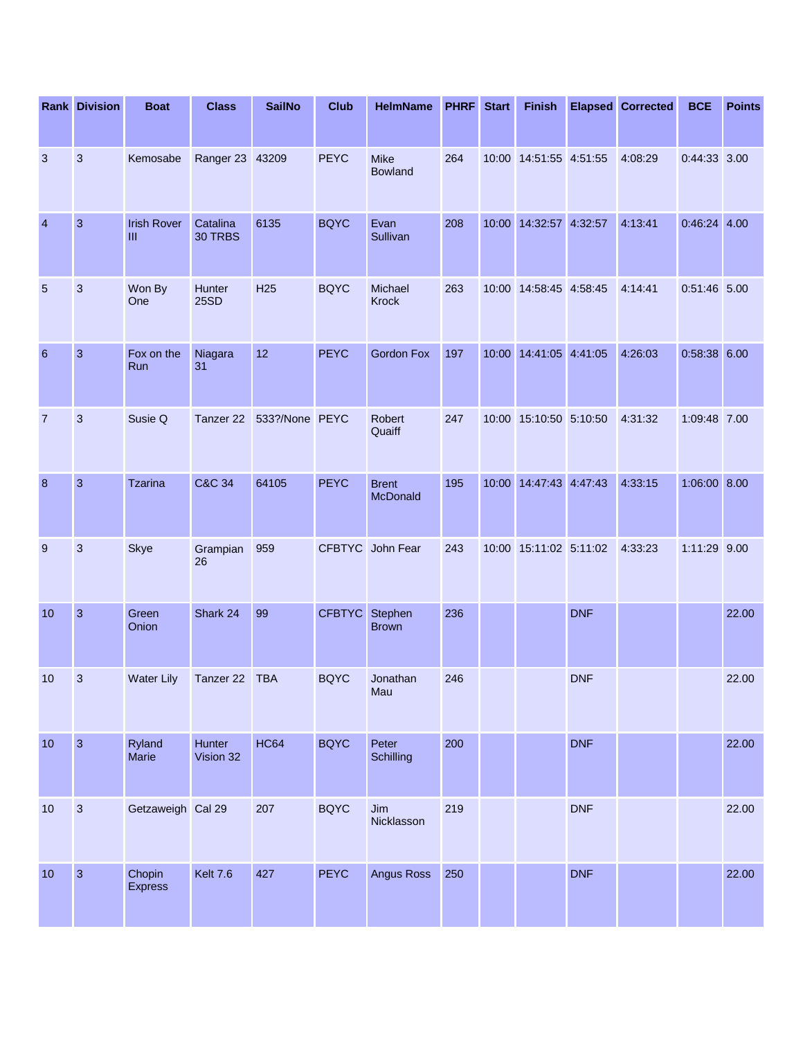|                  | <b>Rank Division</b> | <b>Boat</b>                        | <b>Class</b>          | <b>SailNo</b>   | <b>Club</b>   | <b>HelmName</b>               | <b>PHRF</b> | <b>Start</b> | <b>Finish</b>          |            | <b>Elapsed Corrected</b> | <b>BCE</b>     | <b>Points</b> |
|------------------|----------------------|------------------------------------|-----------------------|-----------------|---------------|-------------------------------|-------------|--------------|------------------------|------------|--------------------------|----------------|---------------|
| 3                | $\mathfrak{S}$       | Kemosabe                           | Ranger 23 43209       |                 | <b>PEYC</b>   | <b>Mike</b><br><b>Bowland</b> | 264         |              | 10:00 14:51:55 4:51:55 |            | 4:08:29                  | 0:44:33 3.00   |               |
| $\overline{4}$   | 3                    | <b>Irish Rover</b><br>$\mathbf{m}$ | Catalina<br>30 TRBS   | 6135            | <b>BQYC</b>   | Evan<br>Sullivan              | 208         |              | 10:00 14:32:57 4:32:57 |            | 4:13:41                  | $0:46:24$ 4.00 |               |
| 5                | 3                    | Won By<br>One                      | Hunter<br><b>25SD</b> | H <sub>25</sub> | <b>BQYC</b>   | Michael<br>Krock              | 263         |              | 10:00 14:58:45 4:58:45 |            | 4:14:41                  | 0:51:46 5.00   |               |
| 6                | $\mathbf{3}$         | Fox on the<br>Run                  | Niagara<br>31         | 12              | <b>PEYC</b>   | <b>Gordon Fox</b>             | 197         |              | 10:00 14:41:05 4:41:05 |            | 4:26:03                  | 0:58:38 6.00   |               |
| $\overline{7}$   | $\mathfrak{S}$       | Susie Q                            | Tanzer 22             | 533?/None PEYC  |               | Robert<br>Quaiff              | 247         |              | 10:00 15:10:50 5:10:50 |            | 4:31:32                  | 1:09:48 7.00   |               |
| $\boldsymbol{8}$ | $\mathbf{3}$         | <b>Tzarina</b>                     | <b>C&amp;C 34</b>     | 64105           | <b>PEYC</b>   | <b>Brent</b><br>McDonald      | 195         |              | 10:00 14:47:43 4:47:43 |            | 4:33:15                  | 1:06:00 8.00   |               |
| 9                | 3                    | <b>Skye</b>                        | Grampian<br>26        | 959             |               | CFBTYC John Fear              | 243         |              | 10:00 15:11:02 5:11:02 |            | 4:33:23                  | 1:11:29 9.00   |               |
| 10               | $\overline{3}$       | Green<br>Onion                     | Shark 24              | 99              | <b>CFBTYC</b> | Stephen<br><b>Brown</b>       | 236         |              |                        | <b>DNF</b> |                          |                | 22.00         |
| 10               | 3                    | <b>Water Lily</b>                  | Tanzer 22             | <b>TBA</b>      | <b>BQYC</b>   | Jonathan<br>Mau               | 246         |              |                        | <b>DNF</b> |                          |                | 22.00         |
| 10               | $\overline{3}$       | Ryland<br>Marie                    | Hunter<br>Vision 32   | <b>HC64</b>     | <b>BQYC</b>   | Peter<br>Schilling            | 200         |              |                        | <b>DNF</b> |                          |                | 22.00         |
| 10               | $\mathbf{3}$         | Getzaweigh Cal 29                  |                       | 207             | <b>BQYC</b>   | Jim<br>Nicklasson             | 219         |              |                        | <b>DNF</b> |                          |                | 22.00         |
| 10               | $\overline{3}$       | Chopin<br>Express                  | Kelt 7.6              | 427             | <b>PEYC</b>   | Angus Ross                    | 250         |              |                        | <b>DNF</b> |                          |                | 22.00         |